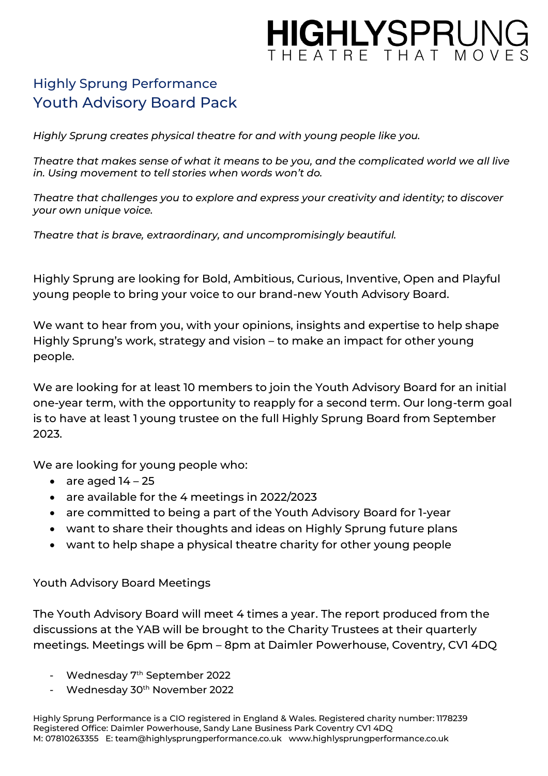# HIGHLYSPRUNG HEATRE THAT MON

## Highly Sprung Performance Youth Advisory Board Pack

*Highly Sprung creates physical theatre for and with young people like you.* 

*Theatre that makes sense of what it means to be you, and the complicated world we all live in. Using movement to tell stories when words won't do.* 

*Theatre that challenges you to explore and express your creativity and identity; to discover your own unique voice.* 

*Theatre that is brave, extraordinary, and uncompromisingly beautiful.* 

Highly Sprung are looking for Bold, Ambitious, Curious, Inventive, Open and Playful young people to bring your voice to our brand-new Youth Advisory Board.

We want to hear from you, with your opinions, insights and expertise to help shape Highly Sprung's work, strategy and vision – to make an impact for other young people.

We are looking for at least 10 members to join the Youth Advisory Board for an initial one-year term, with the opportunity to reapply for a second term. Our long-term goal is to have at least 1 young trustee on the full Highly Sprung Board from September 2023.

We are looking for young people who:

- are aged  $14 25$
- are available for the 4 meetings in 2022/2023
- are committed to being a part of the Youth Advisory Board for 1-year
- want to share their thoughts and ideas on Highly Sprung future plans
- want to help shape a physical theatre charity for other young people

Youth Advisory Board Meetings

The Youth Advisory Board will meet 4 times a year. The report produced from the discussions at the YAB will be brought to the Charity Trustees at their quarterly meetings. Meetings will be 6pm – 8pm at Daimler Powerhouse, Coventry, CV1 4DQ

- Wednesday 7<sup>th</sup> September 2022
- Wednesday 30<sup>th</sup> November 2022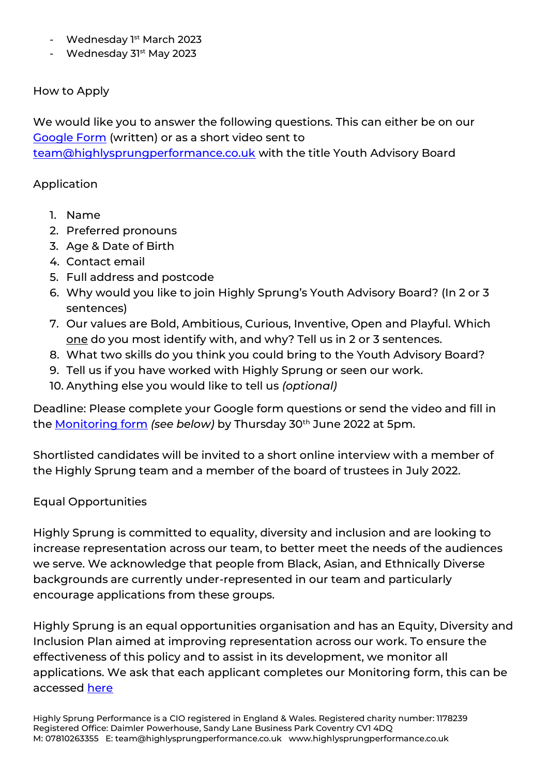- Wednesday 1<sup>st</sup> March 2023
- Wednesday 31<sup>st</sup> May 2023

### How to Apply

We would like you to answer the following questions. This can either be on our [Google Form](https://forms.gle/xTgKixnp2mXgRwe7A) (written) or as a short video sent to [team@highlysprungperformance.co.uk](mailto:team@highlysprungperformance.co.uk) with the title Youth Advisory Board

#### Application

- 1. Name
- 2. Preferred pronouns
- 3. Age & Date of Birth
- 4. Contact email
- 5. Full address and postcode
- 6. Why would you like to join Highly Sprung's Youth Advisory Board? (In 2 or 3 sentences)
- 7. Our values are Bold, Ambitious, Curious, Inventive, Open and Playful. Which one do you most identify with, and why? Tell us in 2 or 3 sentences.
- 8. What two skills do you think you could bring to the Youth Advisory Board?
- 9. Tell us if you have worked with Highly Sprung or seen our work.
- 10. Anything else you would like to tell us *(optional)*

Deadline: Please complete your Google form questions or send the video and fill in the [Monitoring form](https://forms.gle/fnS8Up4EC3gkVnV17) *(see below)* by Thursday 30th June 2022 at 5pm.

Shortlisted candidates will be invited to a short online interview with a member of the Highly Sprung team and a member of the board of trustees in July 2022.

#### Equal Opportunities

Highly Sprung is committed to equality, diversity and inclusion and are looking to increase representation across our team, to better meet the needs of the audiences we serve. We acknowledge that people from Black, Asian, and Ethnically Diverse backgrounds are currently under-represented in our team and particularly encourage applications from these groups.

Highly Sprung is an equal opportunities organisation and has an Equity, Diversity and Inclusion Plan aimed at improving representation across our work. To ensure the effectiveness of this policy and to assist in its development, we monitor all applications. We ask that each applicant completes our Monitoring form, this can be accessed [here](https://forms.gle/fnS8Up4EC3gkVnV17)